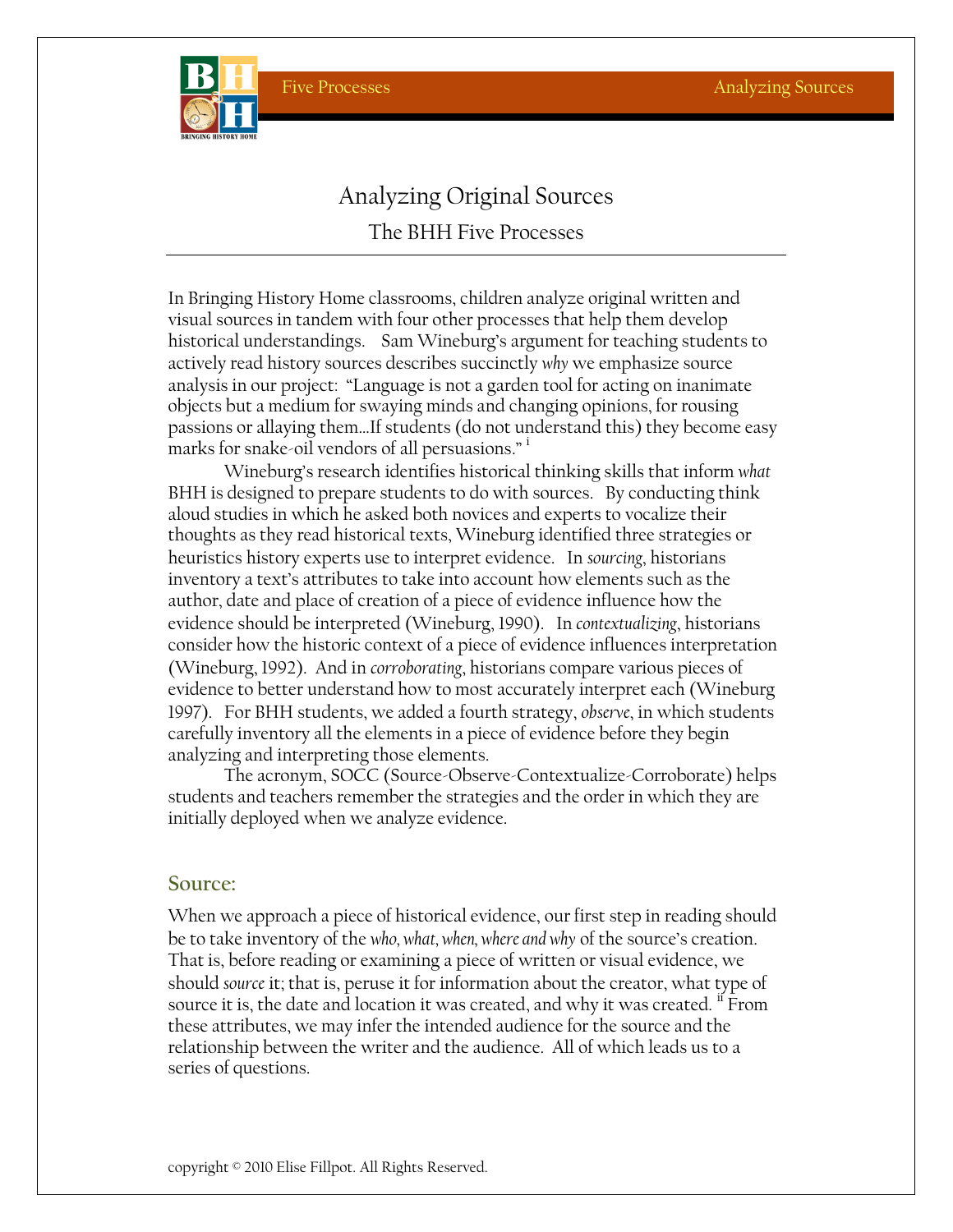

# Analyzing Original Sources The BHH Five Processes

In Bringing History Home classrooms, children analyze original written and visual sources in tandem with four other processes that help them develop historical understandings. Sam Wineburg's argument for teaching students to actively read history sources describes succinctly *why* we emphasize source analysis in our project: "Language is not a garden tool for acting on inanimate objects but a medium for swaying minds and changing opinions, for rousing passions or allaying them…If students (do not understand this) they become easy marks for snake-oil vendors of all persuasions." $\cdot$ 

Wineburg's research identifies historical thinking skills that inform *what*  BHH is designed to prepare students to do with sources. By conducting think aloud studies in which he asked both novices and experts to vocalize their thoughts as they read historical texts, Wineburg identified three strategies or heuristics history experts use to interpret evidence. In *sourcing*, historians inventory a text's attributes to take into account how elements such as the author, date and place of creation of a piece of evidence influence how the evidence should be interpreted (Wineburg, 1990). In *contextualizing*, historians consider how the historic context of a piece of evidence influences interpretation (Wineburg, 1992). And in *corroborating*, historians compare various pieces of evidence to better understand how to most accurately interpret each (Wineburg 1997). For BHH students, we added a fourth strategy, *observe*, in which students carefully inventory all the elements in a piece of evidence before they begin analyzing and interpreting those elements.

The acronym, SOCC (Source-Observe-Contextualize-Corroborate) helps students and teachers remember the strategies and the order in which they are initially deployed when we analyze evidence.

#### **Source:**

When we approach a piece of historical evidence, our first step in reading should be to take inventory of the *who, what, when, where and why* of the source's creation. That is, before reading or examining a piece of written or visual evidence, we should *source* it; that is, peruse it for information about the creator, what type of source it is, the date and location it was created, and why it was created.  $^{\text{II}}$  From these attributes, we may infer the intended audience for the source and the relationship between the writer and the audience. All of which leads us to a series of questions.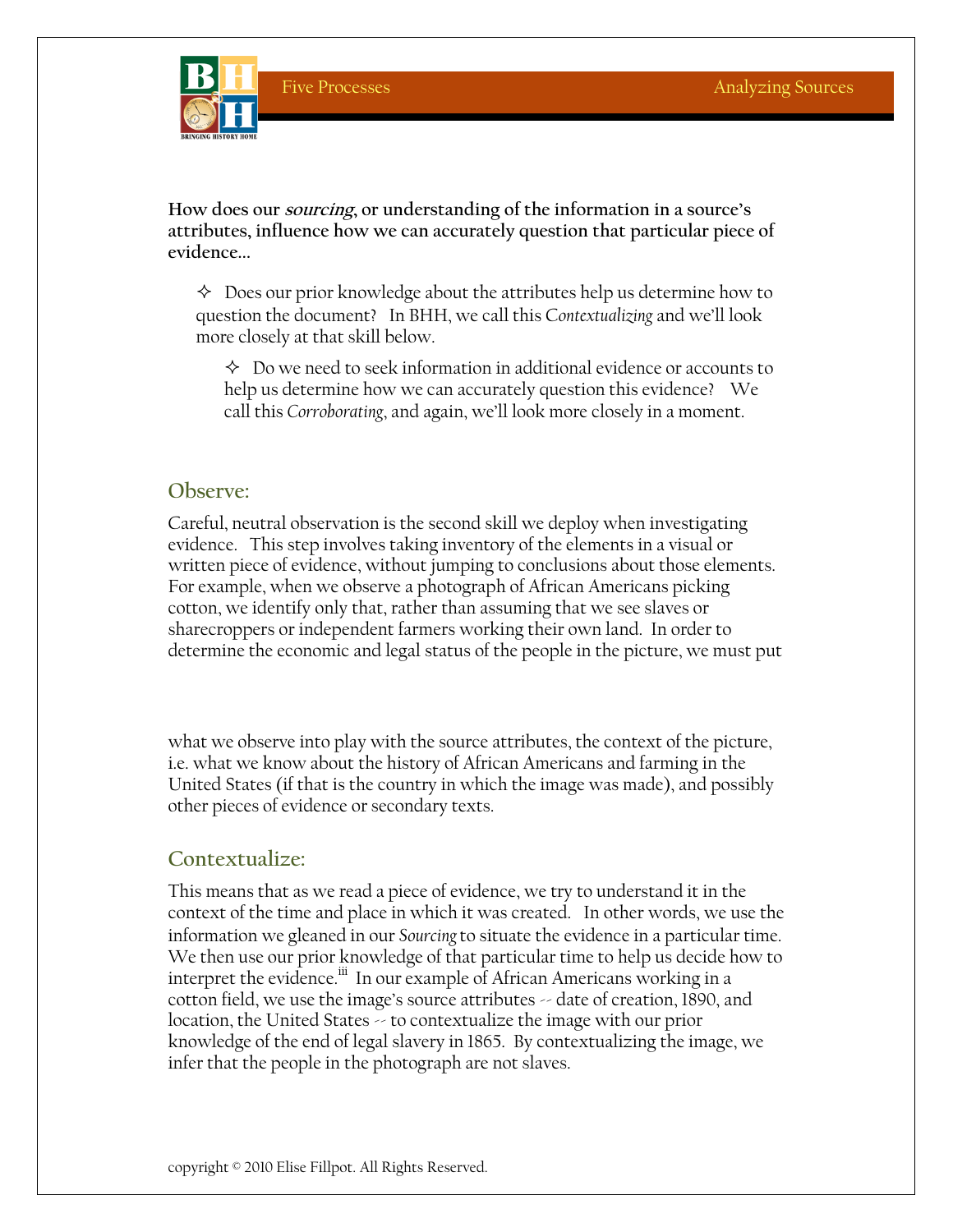

**How does our sourcing, or understanding of the information in a source's attributes, influence how we can accurately question that particular piece of evidence...** 

 $\Diamond$  Does our prior knowledge about the attributes help us determine how to question the document? In BHH, we call this C*ontextualizing* and we'll look more closely at that skill below.

 $\Diamond$  Do we need to seek information in additional evidence or accounts to help us determine how we can accurately question this evidence? We call this *Corroborating*, and again, we'll look more closely in a moment.

## **Observe:**

Careful, neutral observation is the second skill we deploy when investigating evidence. This step involves taking inventory of the elements in a visual or written piece of evidence, without jumping to conclusions about those elements. For example, when we observe a photograph of African Americans picking cotton, we identify only that, rather than assuming that we see slaves or sharecroppers or independent farmers working their own land. In order to determine the economic and legal status of the people in the picture, we must put

what we observe into play with the source attributes, the context of the picture, i.e. what we know about the history of African Americans and farming in the United States (if that is the country in which the image was made), and possibly other pieces of evidence or secondary texts.

### **Contextualize:**

This means that as we read a piece of evidence, we try to understand it in the context of the time and place in which it was created. In other words, we use the information we gleaned in our *Sourcing*to situate the evidence in a particular time. We then use our prior knowledge of that particular time to help us decide how to interpret the evidence.<sup>iii</sup> In our example of African Americans working in a cotton field, we use the image's source attributes -- date of creation, 1890, and location, the United States  $\sim$  to contextualize the image with our prior knowledge of the end of legal slavery in 1865. By contextualizing the image, we infer that the people in the photograph are not slaves.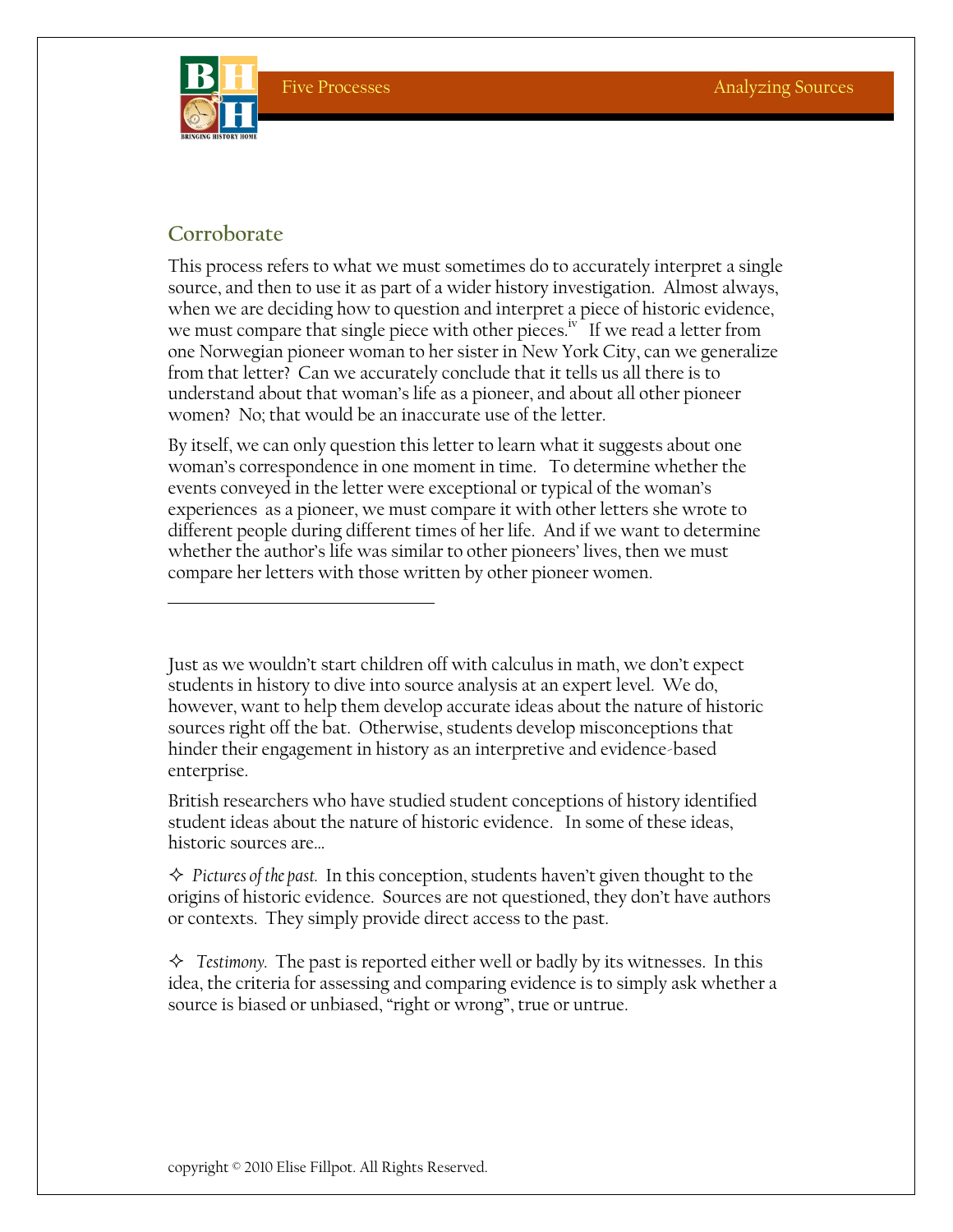

# **Corroborate**

This process refers to what we must sometimes do to accurately interpret a single source, and then to use it as part of a wider history investigation. Almost always, when we are deciding how to question and interpret a piece of historic evidence, we must compare that single piece with other pieces.<sup>iv</sup> If we read a letter from one Norwegian pioneer woman to her sister in New York City, can we generalize from that letter? Can we accurately conclude that it tells us all there is to understand about that woman's life as a pioneer, and about all other pioneer women? No; that would be an inaccurate use of the letter.

By itself, we can only question this letter to learn what it suggests about one woman's correspondence in one moment in time. To determine whether the events conveyed in the letter were exceptional or typical of the woman's experiences as a pioneer, we must compare it with other letters she wrote to different people during different times of her life. And if we want to determine whether the author's life was similar to other pioneers' lives, then we must compare her letters with those written by other pioneer women.

Just as we wouldn't start children off with calculus in math, we don't expect students in history to dive into source analysis at an expert level. We do, however, want to help them develop accurate ideas about the nature of historic sources right off the bat. Otherwise, students develop misconceptions that hinder their engagement in history as an interpretive and evidence-based enterprise.

British researchers who have studied student conceptions of history identified student ideas about the nature of historic evidence. In some of these ideas, historic sources are…

 *Pictures of the past.* In this conception, students haven't given thought to the origins of historic evidence. Sources are not questioned, they don't have authors or contexts. They simply provide direct access to the past.

 $\Diamond$  Testimony. The past is reported either well or badly by its witnesses. In this idea, the criteria for assessing and comparing evidence is to simply ask whether a source is biased or unbiased, "right or wrong", true or untrue.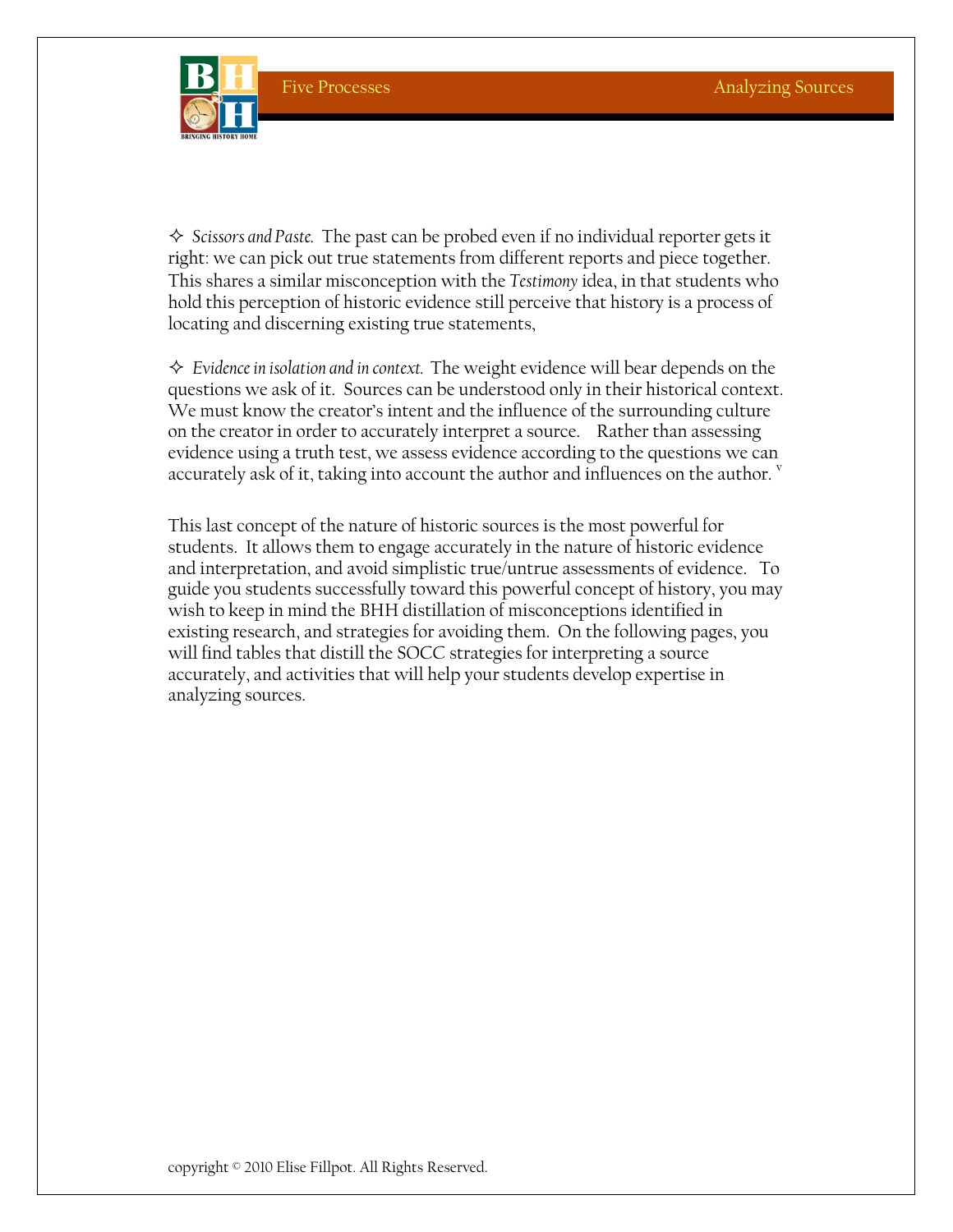

 *Scissors and Paste.* The past can be probed even if no individual reporter gets it right: we can pick out true statements from different reports and piece together. This shares a similar misconception with the *Testimony* idea, in that students who hold this perception of historic evidence still perceive that history is a process of locating and discerning existing true statements,

 *Evidence in isolation and in context.* The weight evidence will bear depends on the questions we ask of it. Sources can be understood only in their historical context. We must know the creator's intent and the influence of the surrounding culture on the creator in order to accurately interpret a source. Rather than assessing evidence using a truth test, we assess evidence according to the questions we can accurately ask of it, taking into account the author and influences on the author.  $^{\rm v}$ 

This last concept of the nature of historic sources is the most powerful for students. It allows them to engage accurately in the nature of historic evidence and interpretation, and avoid simplistic true/untrue assessments of evidence. To guide you students successfully toward this powerful concept of history, you may wish to keep in mind the BHH distillation of misconceptions identified in existing research, and strategies for avoiding them. On the following pages, you will find tables that distill the SOCC strategies for interpreting a source accurately, and activities that will help your students develop expertise in analyzing sources.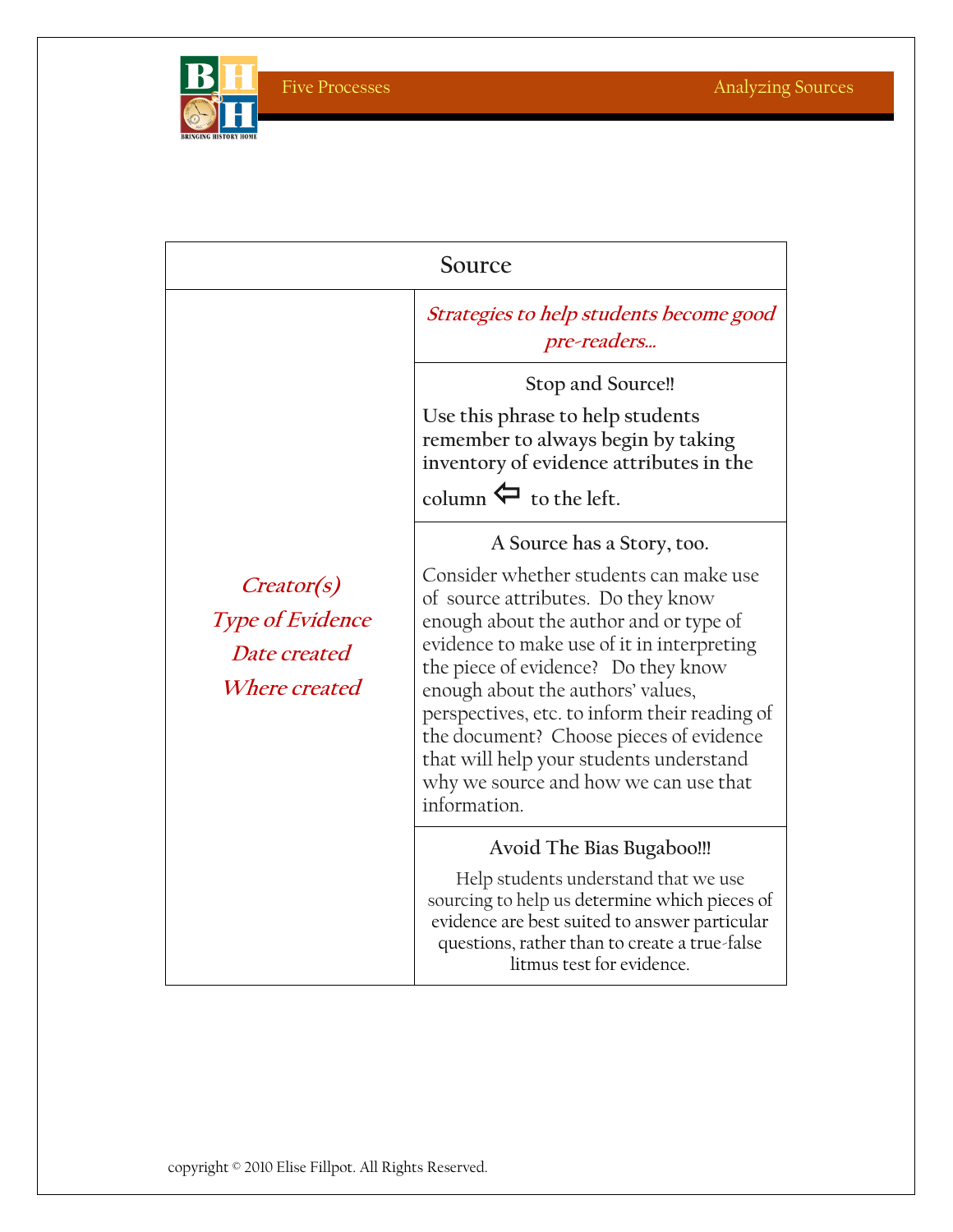

Five Processes Analyzing Sources

| Source                                                                        |                                                                                                                                                                                                                                                                                                                                                                                                                                                                                |  |
|-------------------------------------------------------------------------------|--------------------------------------------------------------------------------------------------------------------------------------------------------------------------------------------------------------------------------------------------------------------------------------------------------------------------------------------------------------------------------------------------------------------------------------------------------------------------------|--|
|                                                                               | Strategies to help students become good<br>pre-readers                                                                                                                                                                                                                                                                                                                                                                                                                         |  |
| <i>Creator(s)</i><br>Type of Evidence<br>Date created<br><i>Where created</i> | Stop and Source!!<br>Use this phrase to help students<br>remember to always begin by taking<br>inventory of evidence attributes in the<br>column $\leftarrow$ to the left.                                                                                                                                                                                                                                                                                                     |  |
|                                                                               | A Source has a Story, too.<br>Consider whether students can make use<br>of source attributes. Do they know<br>enough about the author and or type of<br>evidence to make use of it in interpreting<br>the piece of evidence? Do they know<br>enough about the authors' values,<br>perspectives, etc. to inform their reading of<br>the document? Choose pieces of evidence<br>that will help your students understand<br>why we source and how we can use that<br>information. |  |
|                                                                               | Avoid The Bias Bugaboo!!!<br>Help students understand that we use<br>sourcing to help us determine which pieces of<br>evidence are best suited to answer particular<br>questions, rather than to create a true-false<br>litmus test for evidence.                                                                                                                                                                                                                              |  |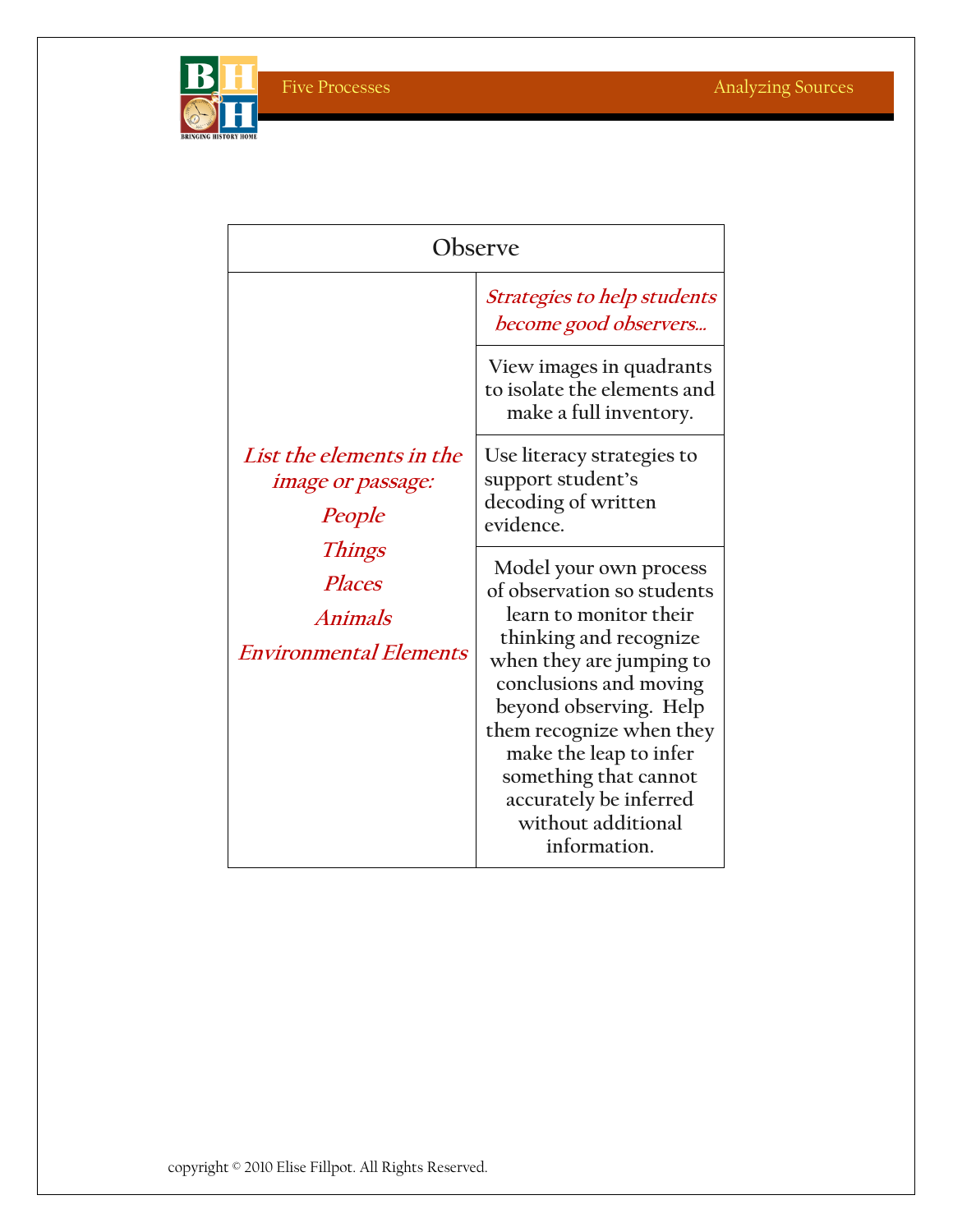

| Observe                                                                                                                                                    |                                                                                                                                                                                                                                                                                                                                         |  |
|------------------------------------------------------------------------------------------------------------------------------------------------------------|-----------------------------------------------------------------------------------------------------------------------------------------------------------------------------------------------------------------------------------------------------------------------------------------------------------------------------------------|--|
|                                                                                                                                                            | <i>Strategies to help students</i><br>become good observers                                                                                                                                                                                                                                                                             |  |
| List the elements in the<br><i>image or passage:</i><br>People<br><b>Things</b><br><b>Places</b><br><i><b>Animals</b></i><br><b>Environmental Elements</b> | View images in quadrants<br>to isolate the elements and<br>make a full inventory.                                                                                                                                                                                                                                                       |  |
|                                                                                                                                                            | Use literacy strategies to<br>support student's<br>decoding of written<br>evidence.                                                                                                                                                                                                                                                     |  |
|                                                                                                                                                            | Model your own process<br>of observation so students<br>learn to monitor their<br>thinking and recognize<br>when they are jumping to<br>conclusions and moving<br>beyond observing. Help<br>them recognize when they<br>make the leap to infer<br>something that cannot<br>accurately be inferred<br>without additional<br>information. |  |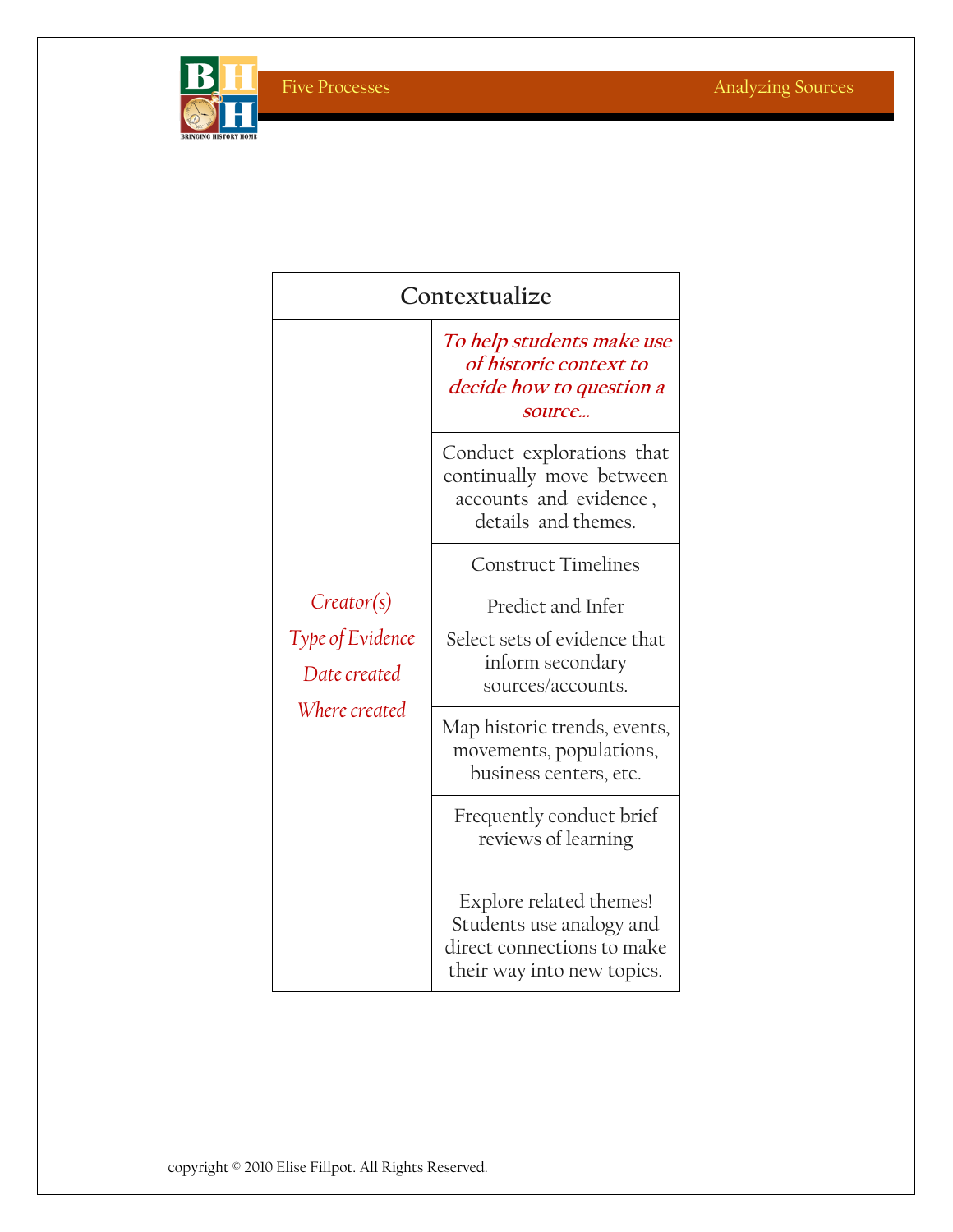

| Contextualize                                                   |                                                                                                                 |  |
|-----------------------------------------------------------------|-----------------------------------------------------------------------------------------------------------------|--|
| Creator(s)<br>Type of Evidence<br>Date created<br>Where created | To help students make use<br>of historic context to<br>decide how to question a<br>source                       |  |
|                                                                 | Conduct explorations that<br>continually move between<br>accounts and evidence,<br>details and themes.          |  |
|                                                                 | <b>Construct Timelines</b>                                                                                      |  |
|                                                                 | Predict and Infer                                                                                               |  |
|                                                                 | Select sets of evidence that<br>inform secondary<br>sources/accounts.                                           |  |
|                                                                 | Map historic trends, events,<br>movements, populations,<br>business centers, etc.                               |  |
|                                                                 | Frequently conduct brief<br>reviews of learning                                                                 |  |
|                                                                 | Explore related themes!<br>Students use analogy and<br>direct connections to make<br>their way into new topics. |  |

copyright © 2010 Elise Fillpot. All Rights Reserved.